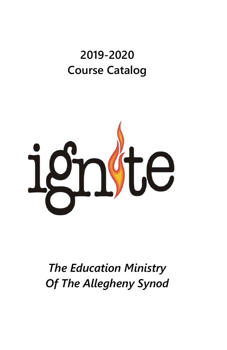# **2019-2020 Course Catalog**



*The Education Ministry Of The Allegheny Synod*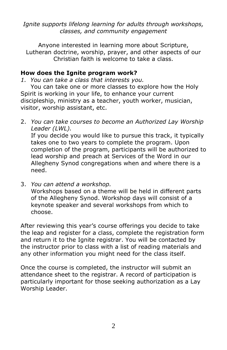*Ignite supports lifelong learning for adults through workshops, classes, and community engagement*

Anyone interested in learning more about Scripture, Lutheran doctrine, worship, prayer, and other aspects of our Christian faith is welcome to take a class.

#### **How does the Ignite program work?**

*1. You can take a class that interests you.*

You can take one or more classes to explore how the Holy Spirit is working in your life, to enhance your current discipleship, ministry as a teacher, youth worker, musician, visitor, worship assistant, etc.

2. *You can take courses to become an Authorized Lay Worship Leader (LWL).*  If you decide you would like to pursue this track, it typically takes one to two years to complete the program. Upon completion of the program, participants will be authorized to lead worship and preach at Services of the Word in our Allegheny Synod congregations when and where there is a need.

3. *You can attend a workshop.* Workshops based on a theme will be held in different parts of the Allegheny Synod. Workshop days will consist of a keynote speaker and several workshops from which to choose.

After reviewing this year's course offerings you decide to take the leap and register for a class, complete the registration form and return it to the Ignite registrar. You will be contacted by the instructor prior to class with a list of reading materials and any other information you might need for the class itself.

Once the course is completed, the instructor will submit an attendance sheet to the registrar. A record of participation is particularly important for those seeking authorization as a Lay Worship Leader.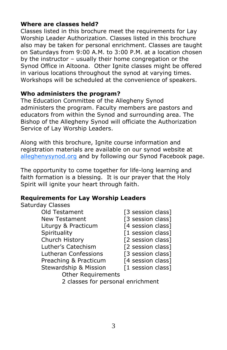# **Where are classes held?**

Classes listed in this brochure meet the requirements for Lay Worship Leader Authorization. Classes listed in this brochure also may be taken for personal enrichment. Classes are taught on Saturdays from 9:00 A.M. to 3:00 P.M. at a location chosen by the instructor – usually their home congregation or the Synod Office in Altoona. Other Ignite classes might be offered in various locations throughout the synod at varying times. Workshops will be scheduled at the convenience of speakers.

# **Who administers the program?**

The Education Committee of the Allegheny Synod administers the program. Faculty members are pastors and educators from within the Synod and surrounding area. The Bishop of the Allegheny Synod will officiate the Authorization Service of Lay Worship Leaders.

Along with this brochure, Ignite course information and registration materials are available on our synod website at [alleghenysynod.org](http://www.alleghenysynod.org/) and by following our Synod Facebook page.

The opportunity to come together for life-long learning and faith formation is a blessing. It is our prayer that the Holy Spirit will ignite your heart through faith.

# **Requirements for Lay Worship Leaders**

Saturday Classes

| Old Testament                    | [3 session class] |
|----------------------------------|-------------------|
| New Testament                    | [3 session class] |
| Liturgy & Practicum              | [4 session class] |
| Spirituality                     | [1 session class] |
| Church History                   | [2 session class] |
| Luther's Catechism               | [2 session class] |
| Lutheran Confessions             | [3 session class] |
| Preaching & Practicum            | [4 session class] |
| <b>Stewardship &amp; Mission</b> | [1 session class] |
| <b>Other Requirements</b>        |                   |
|                                  |                   |

2 classes for personal enrichment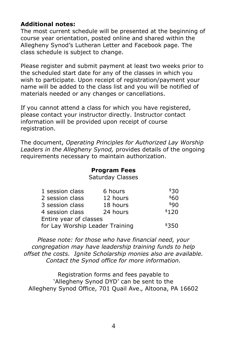# **Additional notes:**

The most current schedule will be presented at the beginning of course year orientation, posted online and shared within the Allegheny Synod's Lutheran Letter and Facebook page. The class schedule is subject to change.

Please register and submit payment at least two weeks prior to the scheduled start date for any of the classes in which you wish to participate. Upon receipt of registration/payment your name will be added to the class list and you will be notified of materials needed or any changes or cancellations.

If you cannot attend a class for which you have registered, please contact your instructor directly. Instructor contact information will be provided upon receipt of course registration.

The document, *Operating Principles for Authorized Lay Worship Leaders in the Allegheny Synod,* provides details of the ongoing requirements necessary to maintain authorization.

#### **Program Fees**

Saturday Classes

| 1 session class                 | 6 hours  | \$30  |
|---------------------------------|----------|-------|
| 2 session class                 | 12 hours | \$60  |
| 3 session class                 | 18 hours | \$9N  |
| 4 session class                 | 24 hours | \$120 |
| Entire year of classes          |          |       |
| for Lay Worship Leader Training | \$350    |       |

*Please note: for those who have financial need, your congregation may have leadership training funds to help offset the costs. Ignite Scholarship monies also are available. Contact the Synod office for more information.*

Registration forms and fees payable to 'Allegheny Synod DYD' can be sent to the Allegheny Synod Office, 701 Quail Ave., Altoona, PA 16602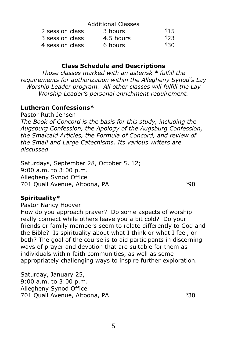|                 | <b>Additional Classes</b> |      |
|-----------------|---------------------------|------|
| 2 session class | 3 hours                   | \$15 |
| 3 session class | 4.5 hours                 | \$23 |
| 4 session class | 6 hours                   | \$30 |

#### **Class Schedule and Descriptions**

*Those classes marked with an asterisk \* fulfill the requirements for authorization within the Allegheny Synod's Lay Worship Leader program. All other classes will fulfill the Lay Worship Leader's personal enrichment requirement.*

#### **Lutheran Confessions\***

Pastor Ruth Jensen

*The Book of Concord is the basis for this study, including the Augsburg Confession, the Apology of the Augsburg Confession, the Smalcald Articles, the Formula of Concord, and review of the Small and Large Catechisms. Its various writers are discussed* 

Saturdays, September 28, October 5, 12; 9:00 a.m. to 3:00 p.m. Allegheny Synod Office 701 Quail Avenue, Altoona, PA **\$90** 

#### **Spirituality\***

Pastor Nancy Hoover

How do you approach prayer? Do some aspects of worship really connect while others leave you a bit cold? Do your friends or family members seem to relate differently to God and the Bible? Is spirituality about what I think or what I feel, or both? The goal of the course is to aid participants in discerning ways of prayer and devotion that are suitable for them as individuals within faith communities, as well as some appropriately challenging ways to inspire further exploration.

Saturday, January 25, 9:00 a.m. to 3:00 p.m. Allegheny Synod Office 701 Quail Avenue, Altoona, PA  $$30$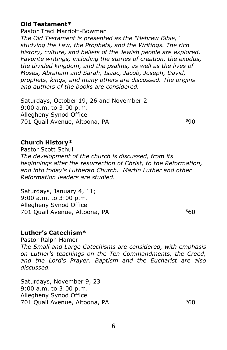# **Old Testament\***

Pastor Traci Marriott-Bowman *The Old Testament is presented as the "Hebrew Bible," studying the Law, the Prophets, and the Writings. The rich history, culture, and beliefs of the Jewish people are explored. Favorite writings, including the stories of creation, the exodus, the divided kingdom, and the psalms, as well as the lives of Moses, Abraham and Sarah, Isaac, Jacob, Joseph, David, prophets, kings, and many others are discussed. The origins and authors of the books are considered.*

Saturdays, October 19, 26 and November 2 9:00 a.m. to 3:00 p.m. Allegheny Synod Office 701 Quail Avenue, Altoona, PA **\$90** 

#### **Church History\***

Pastor Scott Schul *The development of the church is discussed, from its beginnings after the resurrection of Christ, to the Reformation, and into today's Lutheran Church. Martin Luther and other Reformation leaders are studied.*

Saturdays, January 4, 11; 9:00 a.m. to 3:00 p.m. Allegheny Synod Office 701 Quail Avenue, Altoona, PA **\$60** 

# **Luther's Catechism\***

Pastor Ralph Hamer *The Small and Large Catechisms are considered, with emphasis on Luther's teachings on the Ten Commandments, the Creed, and the Lord's Prayer. Baptism and the Eucharist are also discussed.* 

Saturdays, November 9, 23 9:00 a.m. to 3:00 p.m. Allegheny Synod Office 701 Quail Avenue, Altoona, PA **\$60**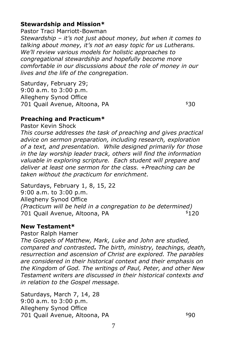# **Stewardship and Mission\***

Pastor Traci Marriott-Bowman *Stewardship – it's not just about money, but when it comes to talking about money, it's not an easy topic for us Lutherans. We'll review various models for holistic approaches to congregational stewardship and hopefully become more comfortable in our discussions about the role of money in our lives and the life of the congregation.*

Saturday, February 29; 9:00 a.m. to 3:00 p.m. Allegheny Synod Office 701 Quail Avenue, Altoona, PA  $$30$ 

# **Preaching and Practicum\***

Pastor Kevin Shock

*This course addresses the task of preaching and gives practical advice on sermon preparation, including research, exploration of a text, and presentation. While designed primarily for those in the lay worship leader track, others will find the information valuable in exploring scripture. Each student will prepare and deliver at least one sermon for the class. +Preaching can be taken without the practicum for enrichment.*

Saturdays, February 1, 8, 15, 22 9:00 a.m. to 3:00 p.m. Allegheny Synod Office *(Practicum will be held in a congregation to be determined)* 701 Quail Avenue, Altoona, PA **\$120** 

#### **New Testament\***

Pastor Ralph Hamer

*The Gospels of Matthew, Mark, Luke and John are studied, compared and contrasted. The birth, ministry, teachings, death, resurrection and ascension of Christ are explored. The parables are considered in their historical context and their emphasis on the Kingdom of God. The writings of Paul, Peter, and other New Testament writers are discussed in their historical contexts and in relation to the Gospel message.*

Saturdays, March 7, 14, 28 9:00 a.m. to 3:00 p.m. Allegheny Synod Office 701 Quail Avenue, Altoona, PA  $$90$